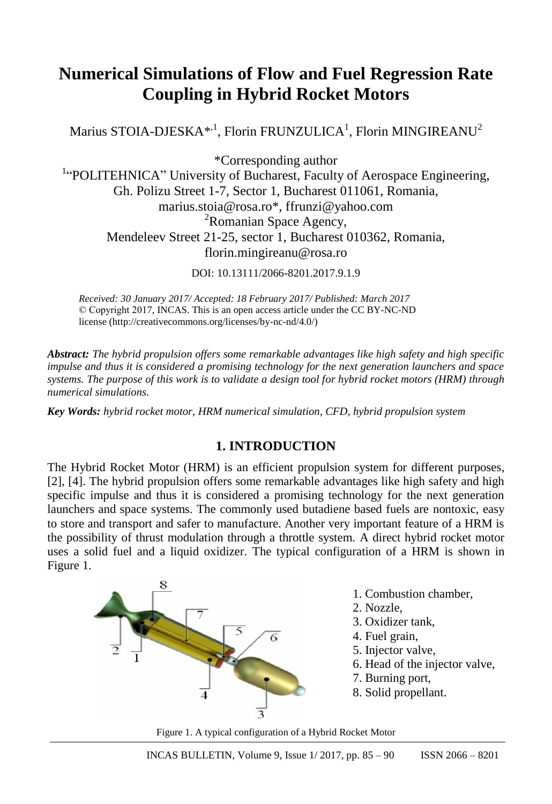# **Numerical Simulations of Flow and Fuel Regression Rate Coupling in Hybrid Rocket Motors**

Marius STOIA-DJESKA $^{\ast ,1}$ , Florin FRUNZULICA $^1$ , Florin MINGIREANU $^2$ 

\*Corresponding author

<sup>1</sup>"POLITEHNICA" University of Bucharest, Faculty of Aerospace Engineering, Gh. Polizu Street 1-7, Sector 1, Bucharest 011061, Romania, [marius.stoia@rosa.ro\\*](mailto:marius.stoia@rosa.ro), [ffrunzi@yahoo.com](mailto:ffrunzi@yahoo.com) <sup>2</sup>Romanian Space Agency, Mendeleev Street 21-25, sector 1, Bucharest 010362, Romania, florin.mingireanu@rosa.ro

DOI: 10.13111/2066-8201.2017.9.1.9

*Received: 30 January 2017/ Accepted: 18 February 2017/ Published: March 2017* © Copyright 2017, INCAS. This is an open access article under the CC BY-NC-ND license (http://creativecommons.org/licenses/by-nc-nd/4.0/)

*Abstract: The hybrid propulsion offers some remarkable advantages like high safety and high specific impulse and thus it is considered a promising technology for the next generation launchers and space systems. The purpose of this work is to validate a design tool for hybrid rocket motors (HRM) through numerical simulations.*

*Key Words: hybrid rocket motor, HRM numerical simulation, CFD, hybrid propulsion system*

# **1. INTRODUCTION**

The Hybrid Rocket Motor (HRM) is an efficient propulsion system for different purposes, [2], [4]. The hybrid propulsion offers some remarkable advantages like high safety and high specific impulse and thus it is considered a promising technology for the next generation launchers and space systems. The commonly used butadiene based fuels are nontoxic, easy to store and transport and safer to manufacture. Another very important feature of a HRM is the possibility of thrust modulation through a throttle system. A direct hybrid rocket motor uses a solid fuel and a liquid oxidizer. The typical configuration of a HRM is shown in Figure 1.



- 1. Combustion chamber,
- 2. Nozzle,
- 3. Oxidizer tank,
- 4. Fuel grain,
- 5. Injector valve,
- 6. Head of the injector valve,
- 7. Burning port,
- 8. Solid propellant.

Figure 1. A typical configuration of a Hybrid Rocket Motor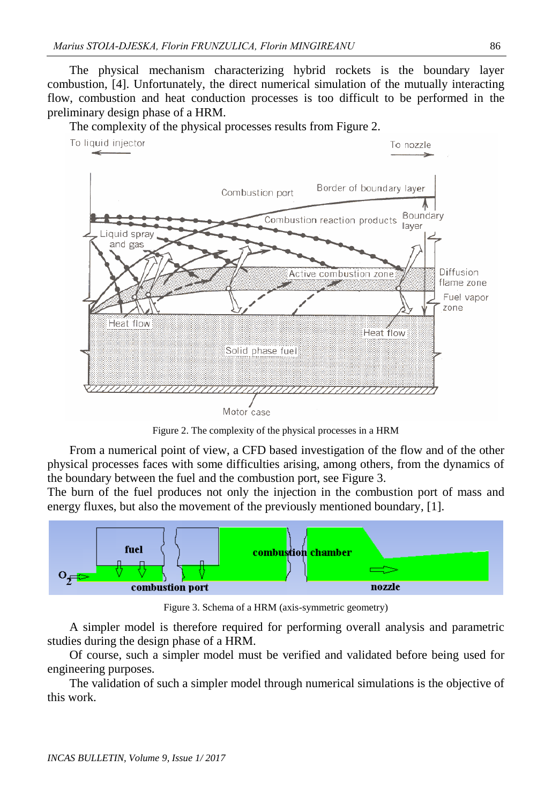The physical mechanism characterizing hybrid rockets is the boundary layer combustion, [4]. Unfortunately, the direct numerical simulation of the mutually interacting flow, combustion and heat conduction processes is too difficult to be performed in the preliminary design phase of a HRM.



The complexity of the physical processes results from Figure 2.

Figure 2. The complexity of the physical processes in a HRM

From a numerical point of view, a CFD based investigation of the flow and of the other physical processes faces with some difficulties arising, among others, from the dynamics of the boundary between the fuel and the combustion port, see Figure 3.

The burn of the fuel produces not only the injection in the combustion port of mass and energy fluxes, but also the movement of the previously mentioned boundary, [1].



Figure 3. Schema of a HRM (axis-symmetric geometry)

A simpler model is therefore required for performing overall analysis and parametric studies during the design phase of a HRM.

Of course, such a simpler model must be verified and validated before being used for engineering purposes.

The validation of such a simpler model through numerical simulations is the objective of this work.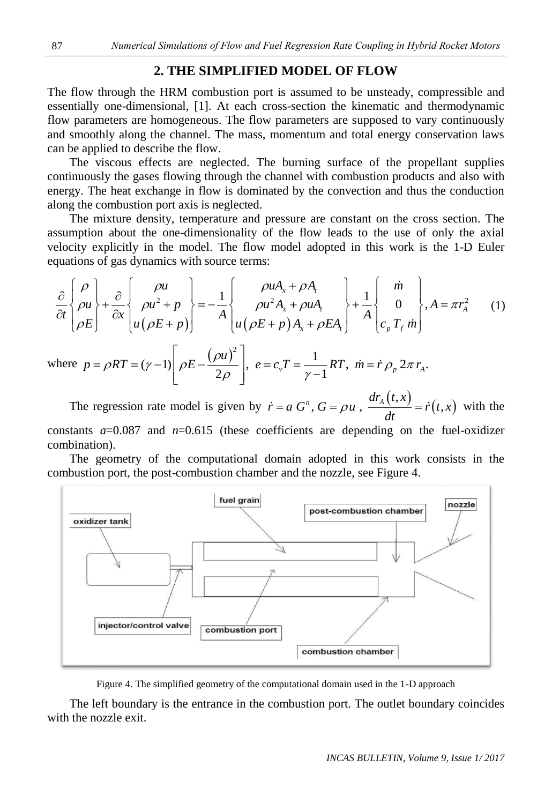## **2. THE SIMPLIFIED MODEL OF FLOW**

The flow through the HRM combustion port is assumed to be unsteady, compressible and essentially one-dimensional, [1]. At each cross-section the kinematic and thermodynamic flow parameters are homogeneous. The flow parameters are supposed to vary continuously and smoothly along the channel. The mass, momentum and total energy conservation laws can be applied to describe the flow.

The viscous effects are neglected. The burning surface of the propellant supplies continuously the gases flowing through the channel with combustion products and also with energy. The heat exchange in flow is dominated by the convection and thus the conduction along the combustion port axis is neglected.

The mixture density, temperature and pressure are constant on the cross section. The assumption about the one-dimensionality of the flow leads to the use of only the axial equations of gas dynamics with source terms: mption about the one-dimensionality of the flow leads to the use of only the active explicitly in the model. The flow model adopted in this work is the 1-D Eu<br>tions of gas dynamics with source terms:<br> $\begin{bmatrix} \rho \\ \rho \end{bmatrix}$ 

velocity explicitly in the model. The flow model adopted in this work is the 1-D Euler  
equations of gas dynamics with source terms:  

$$
\frac{\partial}{\partial t} \begin{bmatrix} \rho \\ \rho u \\ \rho E \end{bmatrix} + \frac{\partial}{\partial x} \begin{bmatrix} \rho u \\ \rho u^2 + p \\ u(\rho E + p) \end{bmatrix} = -\frac{1}{A} \begin{bmatrix} \rho u A_x + \rho A_t \\ \rho u^2 A_x + \rho u A_t \\ u(\rho E + p) A_x + \rho E A_t \end{bmatrix} + \frac{1}{A} \begin{bmatrix} \dot{m} \\ 0 \\ c_p T_f \dot{m} \end{bmatrix}, A = \pi r_A^2
$$
(1)  
where  $p = \rho RT = (\gamma - 1) \begin{bmatrix} \rho E - \frac{(\rho u)^2}{2} \end{bmatrix}$ ,  $e = c$ ,  $T = \frac{1}{2\pi R T}$ ,  $\dot{m} = \dot{r} \rho$   $2\pi r$ .

$$
[\rho E] \qquad [u(\rho E + p)] \qquad [u(\rho E + p)A_x + \rho E A_t] \qquad [c_p T_f \dot{m}]
$$
\nwhere  $p = \rho RT = (\gamma - 1) \left[ \rho E - \frac{(\rho u)^2}{2\rho} \right]$ ,  $e = c_v T = \frac{1}{\gamma - 1} RT$ ,  $\dot{m} = \dot{r} \rho_p 2\pi r_A$ .  
\nThe regression rate model is given by  $\dot{x} = a G^n$ ,  $G = \rho u = \frac{dr_A(t, x)}{2r_A(t, x)}$ .

The regression rate model is given by  $\dot{r} = a G^n$ ,  $G = \rho u$ ,  $\frac{dr_A(t, x)}{dt}$  $(t,x)$ ,  $G = \rho u$ ,  $\frac{dr_A(t,x)}{dt} = \dot{r}(t,$  $\dot{r} = a G^n$ ,  $G = \rho u$ ,  $\frac{dr_A(t,x)}{dt} = \dot{r}(t,x)$  with the constants  $a=0.087$  and  $n=0.615$  (these coefficients are depending on the fuel-oxidizer combination).

The geometry of the computational domain adopted in this work consists in the combustion port, the post-combustion chamber and the nozzle, see Figure 4.



Figure 4. The simplified geometry of the computational domain used in the 1-D approach

The left boundary is the entrance in the combustion port. The outlet boundary coincides with the nozzle exit.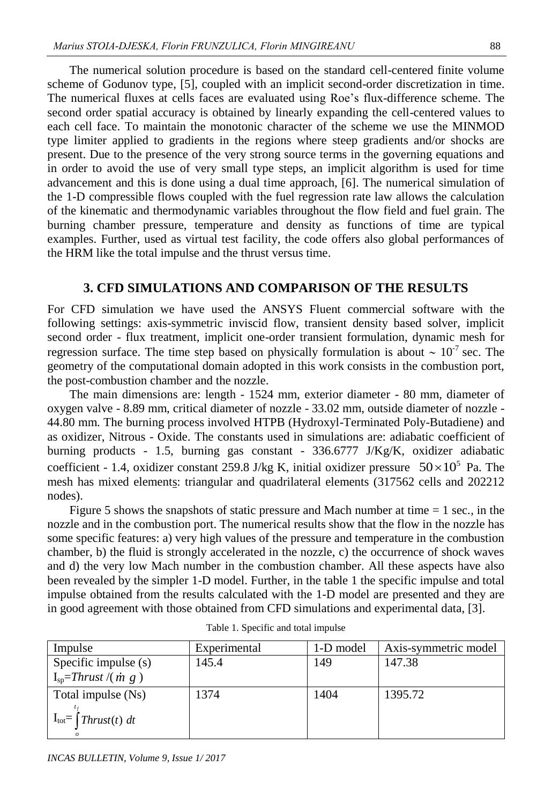The numerical solution procedure is based on the standard cell-centered finite volume scheme of Godunov type, [5], coupled with an implicit second-order discretization in time. The numerical fluxes at cells faces are evaluated using Roe's flux-difference scheme. The second order spatial accuracy is obtained by linearly expanding the cell-centered values to each cell face. To maintain the monotonic character of the scheme we use the MINMOD type limiter applied to gradients in the regions where steep gradients and/or shocks are present. Due to the presence of the very strong source terms in the governing equations and in order to avoid the use of very small type steps, an implicit algorithm is used for time advancement and this is done using a dual time approach, [6]. The numerical simulation of the 1-D compressible flows coupled with the fuel regression rate law allows the calculation of the kinematic and thermodynamic variables throughout the flow field and fuel grain. The burning chamber pressure, temperature and density as functions of time are typical examples. Further, used as virtual test facility, the code offers also global performances of the HRM like the total impulse and the thrust versus time.

#### **3. CFD SIMULATIONS AND COMPARISON OF THE RESULTS**

For CFD simulation we have used the ANSYS Fluent commercial software with the following settings: axis-symmetric inviscid flow, transient density based solver, implicit second order - flux treatment, implicit one-order transient formulation, dynamic mesh for regression surface. The time step based on physically formulation is about  $\sim 10^{-7}$  sec. The geometry of the computational domain adopted in this work consists in the combustion port, the post-combustion chamber and the nozzle.

The main dimensions are: length - 1524 mm, exterior diameter - 80 mm, diameter of oxygen valve - 8.89 mm, critical diameter of nozzle - 33.02 mm, outside diameter of nozzle - 44.80 mm. The burning process involved HTPB (Hydroxyl-Terminated Poly-Butadiene) and as oxidizer, Nitrous - Oxide. The constants used in simulations are: adiabatic coefficient of burning products - 1.5, burning gas constant - 336.6777 J/Kg/K, oxidizer adiabatic coefficient - 1.4, oxidizer constant 259.8 J/kg K, initial oxidizer pressure  $50 \times 10^5$  Pa. The mesh has mixed elements: triangular and quadrilateral elements (317562 cells and 202212 nodes).

Figure 5 shows the snapshots of static pressure and Mach number at time  $= 1$  sec., in the nozzle and in the combustion port. The numerical results show that the flow in the nozzle has some specific features: a) very high values of the pressure and temperature in the combustion chamber, b) the fluid is strongly accelerated in the nozzle, c) the occurrence of shock waves and d) the very low Mach number in the combustion chamber. All these aspects have also been revealed by the simpler 1-D model. Further, in the table 1 the specific impulse and total impulse obtained from the results calculated with the 1-D model are presented and they are in good agreement with those obtained from CFD simulations and experimental data, [3].

| Impulse                             | Experimental | 1-D model | Axis-symmetric model |  |
|-------------------------------------|--------------|-----------|----------------------|--|
| Specific impulse (s)                | 145.4        | 149       | 147.38               |  |
| $I_{\rm so}$ =Thrust /( <i>m</i> g) |              |           |                      |  |
| Total impulse (Ns)                  | 1374         | 1404      | 1395.72              |  |
| $I_{\text{tot}}$   Thrust(t) dt     |              |           |                      |  |

|  |  | Table 1. Specific and total impulse |  |  |  |  |
|--|--|-------------------------------------|--|--|--|--|
|--|--|-------------------------------------|--|--|--|--|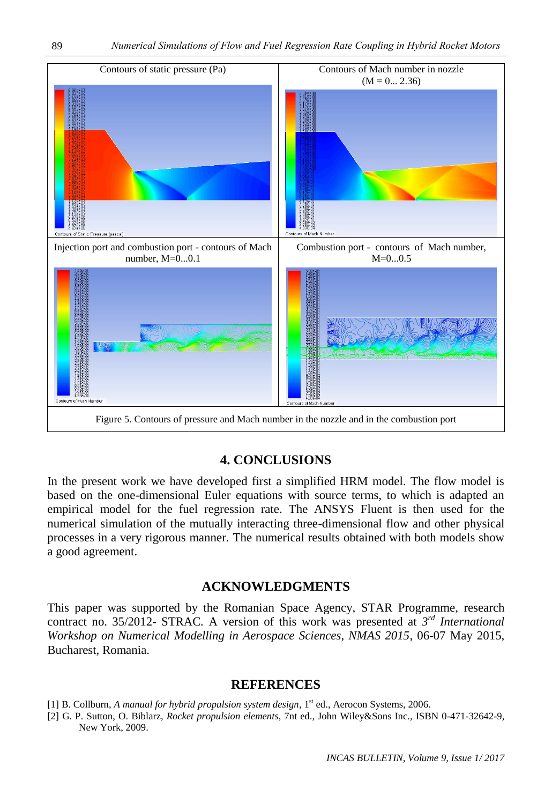

## **4. CONCLUSIONS**

In the present work we have developed first a simplified HRM model. The flow model is based on the one-dimensional Euler equations with source terms, to which is adapted an empirical model for the fuel regression rate. The ANSYS Fluent is then used for the numerical simulation of the mutually interacting three-dimensional flow and other physical processes in a very rigorous manner. The numerical results obtained with both models show a good agreement.

## **ACKNOWLEDGMENTS**

This paper was supported by the Romanian Space Agency, STAR Programme, research contract no. 35/2012- STRAC*.* A version of this work was presented at *3 rd International Workshop on Numerical Modelling in Aerospace Sciences, NMAS 2015*, 06-07 May 2015, Bucharest, Romania.

#### **REFERENCES**

- [1] B. Collburn, A manual for hybrid propulsion system design, 1<sup>st</sup> ed., Aerocon Systems, 2006.
- [2] G. P. Sutton, O. Biblarz, *Rocket propulsion elements*, 7nt ed., John Wiley&Sons Inc., ISBN 0-471-32642-9, New York, 2009.